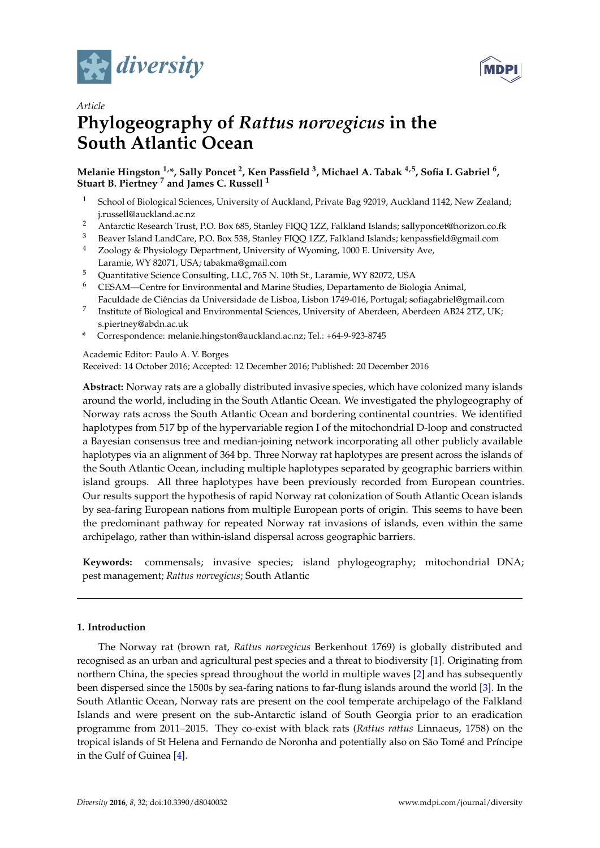



# *Article* **Phylogeography of** *Rattus norvegicus* **in the South Atlantic Ocean**

# **Melanie Hingston 1,\*, Sally Poncet <sup>2</sup> , Ken Passfield <sup>3</sup> , Michael A. Tabak 4,5, Sofia I. Gabriel <sup>6</sup> , Stuart B. Piertney <sup>7</sup> and James C. Russell <sup>1</sup>**

- <sup>1</sup> School of Biological Sciences, University of Auckland, Private Bag 92019, Auckland 1142, New Zealand; j.russell@auckland.ac.nz
- 2 Antarctic Research Trust, P.O. Box 685, Stanley FIQQ 1ZZ, Falkland Islands; sallyponcet@horizon.co.fk<br>3 Boyce Island LandCare P.O. Box 538, Stanley FIQQ 177, Falkland Islands; konnassfield@email.com
- <sup>3</sup> Beaver Island LandCare, P.O. Box 538, Stanley FIQQ 1ZZ, Falkland Islands; kenpassfield@gmail.com<br><sup>4</sup> Zoology & Physiology Department University of Wyoming 1000 E University Ave
- <sup>4</sup> Zoology & Physiology Department, University of Wyoming, 1000 E. University Ave, Laramie, WY 82071, USA; tabakma@gmail.com
- <sup>5</sup> Quantitative Science Consulting, LLC, 765 N. 10th St., Laramie, WY 82072, USA
- <sup>6</sup> CESAM—Centre for Environmental and Marine Studies, Departamento de Biologia Animal, Faculdade de Ciências da Universidade de Lisboa, Lisbon 1749-016, Portugal; sofiagabriel@gmail.com
- 7 Institute of Biological and Environmental Sciences, University of Aberdeen, Aberdeen AB24 2TZ, UK; s.piertney@abdn.ac.uk
- **\*** Correspondence: melanie.hingston@auckland.ac.nz; Tel.: +64-9-923-8745

#### Academic Editor: Paulo A. V. Borges

Received: 14 October 2016; Accepted: 12 December 2016; Published: 20 December 2016

**Abstract:** Norway rats are a globally distributed invasive species, which have colonized many islands around the world, including in the South Atlantic Ocean. We investigated the phylogeography of Norway rats across the South Atlantic Ocean and bordering continental countries. We identified haplotypes from 517 bp of the hypervariable region I of the mitochondrial D-loop and constructed a Bayesian consensus tree and median-joining network incorporating all other publicly available haplotypes via an alignment of 364 bp. Three Norway rat haplotypes are present across the islands of the South Atlantic Ocean, including multiple haplotypes separated by geographic barriers within island groups. All three haplotypes have been previously recorded from European countries. Our results support the hypothesis of rapid Norway rat colonization of South Atlantic Ocean islands by sea-faring European nations from multiple European ports of origin. This seems to have been the predominant pathway for repeated Norway rat invasions of islands, even within the same archipelago, rather than within-island dispersal across geographic barriers.

**Keywords:** commensals; invasive species; island phylogeography; mitochondrial DNA; pest management; *Rattus norvegicus*; South Atlantic

### **1. Introduction**

The Norway rat (brown rat, *Rattus norvegicus* Berkenhout 1769) is globally distributed and recognised as an urban and agricultural pest species and a threat to biodiversity [\[1\]](#page-6-0). Originating from northern China, the species spread throughout the world in multiple waves [\[2\]](#page-6-1) and has subsequently been dispersed since the 1500s by sea-faring nations to far-flung islands around the world [\[3\]](#page-6-2). In the South Atlantic Ocean, Norway rats are present on the cool temperate archipelago of the Falkland Islands and were present on the sub-Antarctic island of South Georgia prior to an eradication programme from 2011–2015. They co-exist with black rats (*Rattus rattus* Linnaeus, 1758) on the tropical islands of St Helena and Fernando de Noronha and potentially also on São Tomé and Príncipe in the Gulf of Guinea [\[4\]](#page-6-3).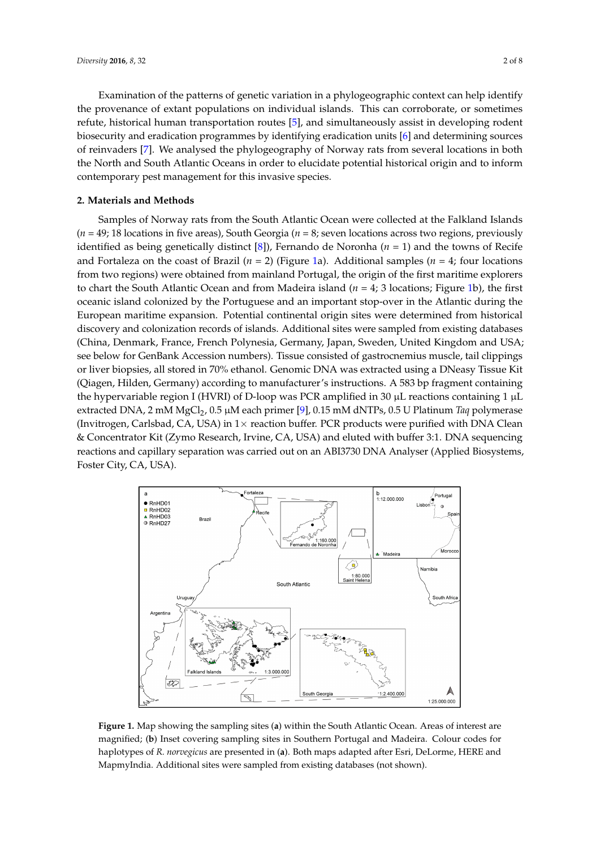Examination of the patterns of genetic variation in a phylogeographic context can help identify the provenance of extant populations on individual islands. This can corroborate, or sometimes refute, historical human transportation routes [\[5\]](#page-6-4), and simultaneously assist in developing rodent biosecurity and eradication programmes by identifying eradication units  $[6]$  and determining sources of reinvaders [7]. We [an](#page-6-6)alysed the phylogeography of Norway rats from several locations in both the North and South Atlantic Oceans in order to elucidate potential historical origin and to inform contemporary pest management for this invasive species.

## **2. Materials and Methods**

Samples of Norway rats from the South Atlantic Ocean were collected at the Falkland Islands  $(n = 49; 18$  locations in five areas), South Georgia  $(n = 8;$  seven locations across two regions, previously identified as being genetically distinct [\[8\]](#page-6-7)), Fernando de Noronha ( $n = 1$ ) and the towns of Recife and Fortaleza on the coast of Brazil ( $n = 2$ ) (Figure [1a](#page-1-0)). Additional samples ( $n = 4$ ; four locations from two regions) were obtained from mainland Portugal, the origin of the first maritime explorers to chart the South Atlantic Ocean and from Madeira island  $(n = 4; 3 \text{ locations}; \text{Figure 1b})$  $(n = 4; 3 \text{ locations}; \text{Figure 1b})$  $(n = 4; 3 \text{ locations}; \text{Figure 1b})$ , the first oceanic island colonized by the Portuguese and an important stop-over in the Atlantic during the oceanic island colonized by the Portuguese and an important stop-over in the Atlantic during the European maritime expansion. Potential continental origin sites were determined from historical discovery of the state of the state of the state of the state of the state of the state of the state of the state of the state discovery and colonization records of islands. Additional sites were sampled from existing databases (China, Denmark, France, French Polynesia, Germany, Japan, Sweden, United Kingdom and USA; see below for GenBank Accession numbers). Tissue consisted of gastrocnemius muscle, tail clippings or liver biopsies, all stored in 70% ethanol. Genomic DNA was extracted using a DNeasy Tissue Kit (Qiagen, Hilden, Germany) according to manufacturer's instructions. A 583 bp fragment containing the hypervariable region I (HVRI) of D-loop was PCR amplified in 30 µL reactions containing 1 µL extracted DNA, 2 mM MgCl2, 0.5 µM each primer [\[9\]](#page-6-8), 0.15 mM dNTPs, 0.5 U Platinum *Taq* polymerase extracted DNA, 2 mM MgCl2, 0.5 µM each primer [9], 0.15 mM dNTPs, 0.5 U Platinum *Taq* (Invitrogen, Carlsbad, CA, USA) in  $1\times$  reaction buffer. PCR products were purified with DNA Clean & Concentrator Kit (Zymo Research, Irvine, CA, USA) and eluted with buffer 3:1. DNA sequencing reactions and capillary separation was carried out on an ABI3730 DNA Analyser (Applied Biosystems, Foster City, CA, USA). **2. Materials and Methods**  island colonized by the Portuguese and an important stop-over in the Atlantic during the European

<span id="page-1-0"></span>

**Figure 1.** Map showing the sampling sites (**a**) within the South Atlantic Ocean. Areas of interest are magnified. (**b**) Inset covering sampling sites in Southern Portugal and Madeira. Colour codes for magnified; (**b**) Inset covering sampling sites in Southern Portugal and Madeira. Colour codes for haplotypes of *R. norvegicus* are presented in (**a**). Both maps adapted after Esri, DeLorme, HERE and haplotypes of *R. norvegicus* are presented in (**a**). Both maps adapted after Esri, DeLorme, HERE and MapmyIndia. Additional sites were sampled from existing databases (not shown). MapmyIndia. Additional sites were sampled from existing databases (not shown).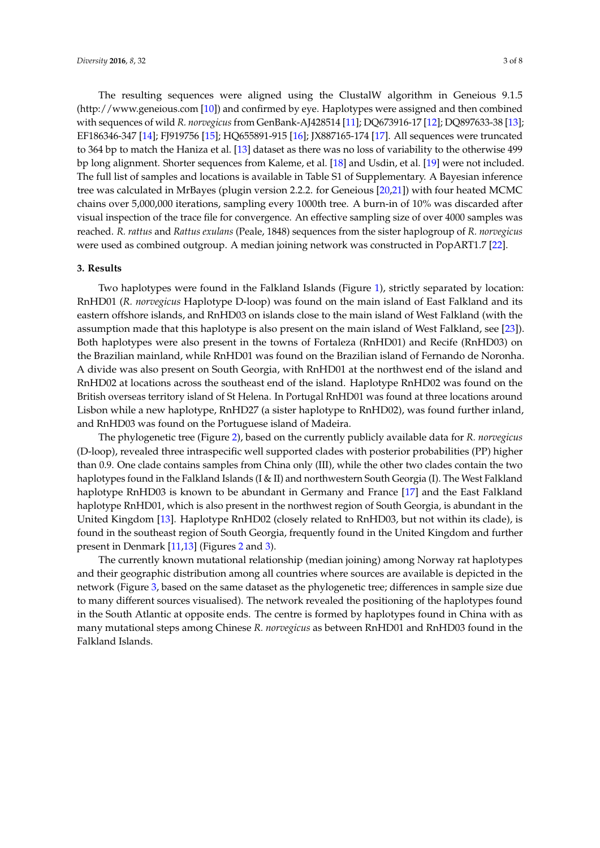The resulting sequences were aligned using the ClustalW algorithm in Geneious 9.1.5 [\(http://www.geneious.com](http://www.geneious.com) [\[10\]](#page-6-9)) and confirmed by eye. Haplotypes were assigned and then combined with sequences of wild *R. norvegicus* from GenBank-AJ428514 [\[11\]](#page-6-10); DQ673916-17 [\[12\]](#page-6-11); DQ897633-38 [\[13\]](#page-6-12); EF186346-347 [\[14\]](#page-6-13); FJ919756 [\[15\]](#page-6-14); HQ655891-915 [\[16\]](#page-6-15); JX887165-174 [\[17\]](#page-6-16). All sequences were truncated to 364 bp to match the Haniza et al. [\[13\]](#page-6-12) dataset as there was no loss of variability to the otherwise 499 bp long alignment. Shorter sequences from Kaleme, et al. [\[18\]](#page-6-17) and Usdin, et al. [\[19\]](#page-6-18) were not included. The full list of samples and locations is available in Table S1 of Supplementary. A Bayesian inference tree was calculated in MrBayes (plugin version 2.2.2. for Geneious [\[20](#page-6-19)[,21\]](#page-7-0)) with four heated MCMC chains over 5,000,000 iterations, sampling every 1000th tree. A burn-in of 10% was discarded after visual inspection of the trace file for convergence. An effective sampling size of over 4000 samples was reached. *R. rattus* and *Rattus exulans* (Peale, 1848) sequences from the sister haplogroup of *R. norvegicus* were used as combined outgroup. A median joining network was constructed in PopART1.7 [\[22\]](#page-7-1).

#### **3. Results**

Two haplotypes were found in the Falkland Islands (Figure [1\)](#page-1-0), strictly separated by location: RnHD01 (*R. norvegicus* Haplotype D-loop) was found on the main island of East Falkland and its eastern offshore islands, and RnHD03 on islands close to the main island of West Falkland (with the assumption made that this haplotype is also present on the main island of West Falkland, see [\[23\]](#page-7-2)). Both haplotypes were also present in the towns of Fortaleza (RnHD01) and Recife (RnHD03) on the Brazilian mainland, while RnHD01 was found on the Brazilian island of Fernando de Noronha. A divide was also present on South Georgia, with RnHD01 at the northwest end of the island and RnHD02 at locations across the southeast end of the island. Haplotype RnHD02 was found on the British overseas territory island of St Helena. In Portugal RnHD01 was found at three locations around Lisbon while a new haplotype, RnHD27 (a sister haplotype to RnHD02), was found further inland, and RnHD03 was found on the Portuguese island of Madeira.

The phylogenetic tree (Figure [2\)](#page-3-0), based on the currently publicly available data for *R. norvegicus* (D-loop), revealed three intraspecific well supported clades with posterior probabilities (PP) higher than 0.9. One clade contains samples from China only (III), while the other two clades contain the two haplotypes found in the Falkland Islands (I & II) and northwestern South Georgia (I). The West Falkland haplotype RnHD03 is known to be abundant in Germany and France [\[17\]](#page-6-16) and the East Falkland haplotype RnHD01, which is also present in the northwest region of South Georgia, is abundant in the United Kingdom [\[13\]](#page-6-12). Haplotype RnHD02 (closely related to RnHD03, but not within its clade), is found in the southeast region of South Georgia, frequently found in the United Kingdom and further present in Denmark [\[11](#page-6-10)[,13\]](#page-6-12) (Figures [2](#page-3-0) and [3\)](#page-4-0).

The currently known mutational relationship (median joining) among Norway rat haplotypes and their geographic distribution among all countries where sources are available is depicted in the network (Figure [3,](#page-4-0) based on the same dataset as the phylogenetic tree; differences in sample size due to many different sources visualised). The network revealed the positioning of the haplotypes found in the South Atlantic at opposite ends. The centre is formed by haplotypes found in China with as many mutational steps among Chinese *R. norvegicus* as between RnHD01 and RnHD03 found in the Falkland Islands.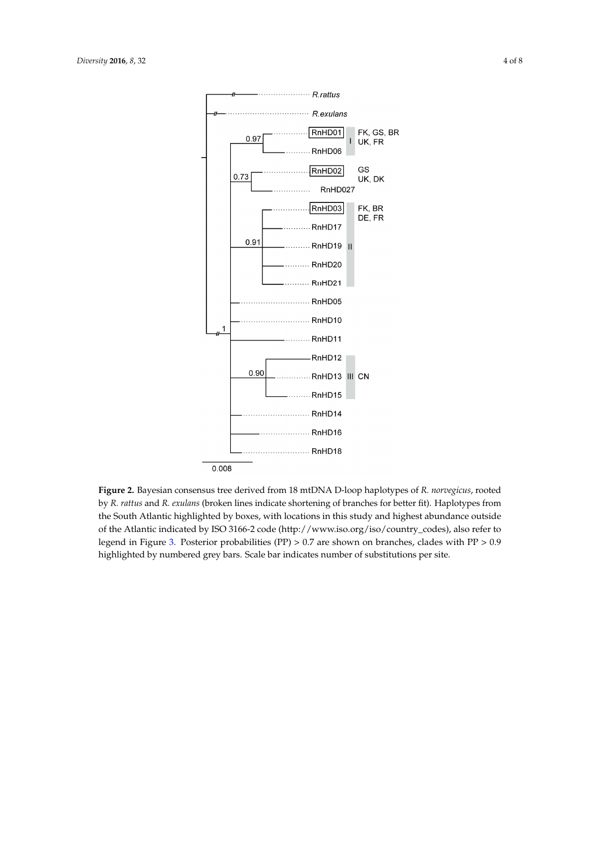<span id="page-3-0"></span>

**Figure 2.** Bayesian consensus tree derived from 18 mtDNA D-loop haplotypes of *R. norvegicus*, **Figure 2.** Bayesian consensus tree derived from 18 mtDNA D-loop haplotypes of *R. norvegicus*, rooted by *R. rattus* and *R. exulans* (broken lines indicate shortening of branches for better fit). Haplotypes from the South Atlantic highlighted by boxes, with locations in this study and highest abundance outside of the Atlantic indicated by ISO 3166-2 code [\(http://www.iso.org/iso/country\\_codes\)](http://www.iso.org/iso/country_codes), also refer to legend in Figure [3.](#page-4-0) Posterior probabilities (PP)  $> 0.7$  are shown on branches, clades with PP  $> 0.9$ highlighted by numbered grey bars. Scale bar indicates number of substitutions per site.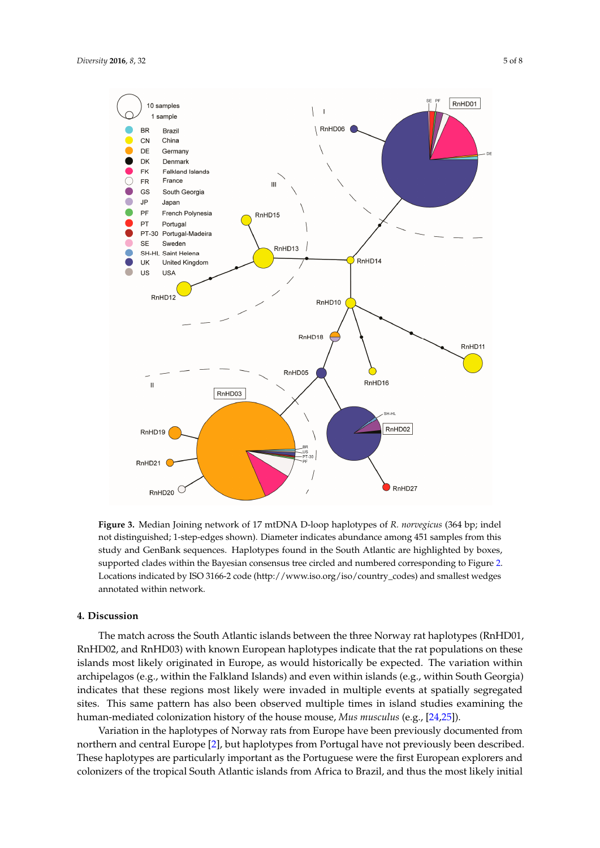<span id="page-4-0"></span>

**Figure 3.** Median Joining network of 17 mtDNA D-loop haplotypes of *R. norvegicus* (364 bp; indel **Figure 3.** Median Joining network of 17 mtDNA D-loop haplotypes of *R. norvegicus* (364 bp; indel not distinguished; 1-step-edges shown). Diameter indicates abundance among 451 samples from not distinguished; 1-step-edges shown). Diameter indicates abundance among 451 samples from this study and GenBank sequences. Haplotypes found in the South Atlantic are highlighted by boxes, supported clades within the Bayesian consensus tree circled and numbered corresponding to Figure 2. Locations indicated by ISO 3166-2 code (http://www.iso.org/iso/country\_codes) and smallest wedges annotated within network. study and GenBank sequences. Haplotypes found in the South Atlantic are highlighted by boxes,<br>supported clades within the Bayesian consensus tree circled and numbered corresponding to Figure [2.](#page-3-0)<br>Locations indicated by ISO 3

# **4. Discussion 4. Discussion**

The match across the South Atlantic islands between the three Norway rat haplotypes The match across the South Atlantic islands between the three Norway rat haplotypes (RnHD01, RnHD02, and RnHD03) with known European haplotypes indicate that the rat populations on these islands most likely originated in Europe, as would historically be expected. The variation within archipelagos (e.g., within the Falkland Islands) and even within islands (e.g., within South Georgia) indicates that these regions most likely were invaded in multiple events at spatially segregated sites. This same pattern has also been observed multiple times in island studies examining the human-mediated colonization history of the house mouse, *[Mus](#page-7-4) musculus* (e.g., [\[24,](#page-7-3)25]).

Variation in the haplotypes of Norway rats from Europe have been previously documented from northern and central Europe [\[2\]](#page-6-1), but haplotypes from Portugal have not previously been described. These haplotypes are particularly important as the Portuguese were the first European explorers and colonizers of the tropical South Atlantic islands from Africa to Brazil, and thus the most likely initial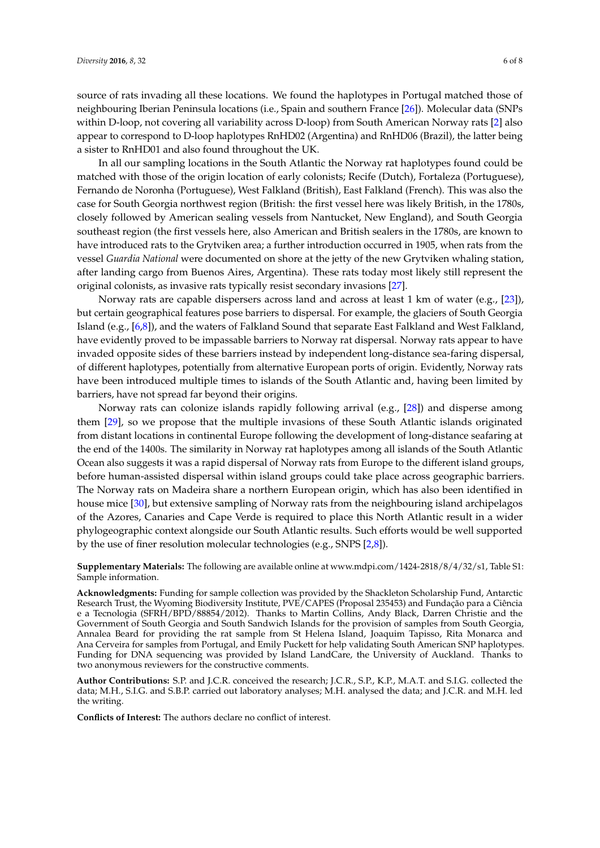source of rats invading all these locations. We found the haplotypes in Portugal matched those of neighbouring Iberian Peninsula locations (i.e., Spain and southern France [\[26\]](#page-7-5)). Molecular data (SNPs within D-loop, not covering all variability across D-loop) from South American Norway rats [\[2\]](#page-6-1) also appear to correspond to D-loop haplotypes RnHD02 (Argentina) and RnHD06 (Brazil), the latter being a sister to RnHD01 and also found throughout the UK.

In all our sampling locations in the South Atlantic the Norway rat haplotypes found could be matched with those of the origin location of early colonists; Recife (Dutch), Fortaleza (Portuguese), Fernando de Noronha (Portuguese), West Falkland (British), East Falkland (French). This was also the case for South Georgia northwest region (British: the first vessel here was likely British, in the 1780s, closely followed by American sealing vessels from Nantucket, New England), and South Georgia southeast region (the first vessels here, also American and British sealers in the 1780s, are known to have introduced rats to the Grytviken area; a further introduction occurred in 1905, when rats from the vessel *Guardia National* were documented on shore at the jetty of the new Grytviken whaling station, after landing cargo from Buenos Aires, Argentina). These rats today most likely still represent the original colonists, as invasive rats typically resist secondary invasions [\[27\]](#page-7-6).

Norway rats are capable dispersers across land and across at least 1 km of water (e.g., [\[23\]](#page-7-2)), but certain geographical features pose barriers to dispersal. For example, the glaciers of South Georgia Island (e.g., [\[6,](#page-6-5)[8\]](#page-6-7)), and the waters of Falkland Sound that separate East Falkland and West Falkland, have evidently proved to be impassable barriers to Norway rat dispersal. Norway rats appear to have invaded opposite sides of these barriers instead by independent long-distance sea-faring dispersal, of different haplotypes, potentially from alternative European ports of origin. Evidently, Norway rats have been introduced multiple times to islands of the South Atlantic and, having been limited by barriers, have not spread far beyond their origins.

Norway rats can colonize islands rapidly following arrival (e.g., [\[28\]](#page-7-7)) and disperse among them [\[29\]](#page-7-8), so we propose that the multiple invasions of these South Atlantic islands originated from distant locations in continental Europe following the development of long-distance seafaring at the end of the 1400s. The similarity in Norway rat haplotypes among all islands of the South Atlantic Ocean also suggests it was a rapid dispersal of Norway rats from Europe to the different island groups, before human-assisted dispersal within island groups could take place across geographic barriers. The Norway rats on Madeira share a northern European origin, which has also been identified in house mice [\[30\]](#page-7-9), but extensive sampling of Norway rats from the neighbouring island archipelagos of the Azores, Canaries and Cape Verde is required to place this North Atlantic result in a wider phylogeographic context alongside our South Atlantic results. Such efforts would be well supported by the use of finer resolution molecular technologies (e.g., SNPS [\[2,](#page-6-1)[8\]](#page-6-7)).

**Supplementary Materials:** The following are available online at [www.mdpi.com/1424-2818/8/4/32/s1,](www.mdpi.com/1424-2818/8/4/32/s1) Table S1: Sample information.

**Acknowledgments:** Funding for sample collection was provided by the Shackleton Scholarship Fund, Antarctic Research Trust, the Wyoming Biodiversity Institute, PVE/CAPES (Proposal 235453) and Fundação para a Ciência e a Tecnologia (SFRH/BPD/88854/2012). Thanks to Martin Collins, Andy Black, Darren Christie and the Government of South Georgia and South Sandwich Islands for the provision of samples from South Georgia, Annalea Beard for providing the rat sample from St Helena Island, Joaquim Tapisso, Rita Monarca and Ana Cerveira for samples from Portugal, and Emily Puckett for help validating South American SNP haplotypes. Funding for DNA sequencing was provided by Island LandCare, the University of Auckland. Thanks to two anonymous reviewers for the constructive comments.

**Author Contributions:** S.P. and J.C.R. conceived the research; J.C.R., S.P., K.P., M.A.T. and S.I.G. collected the data; M.H., S.I.G. and S.B.P. carried out laboratory analyses; M.H. analysed the data; and J.C.R. and M.H. led the writing.

**Conflicts of Interest:** The authors declare no conflict of interest.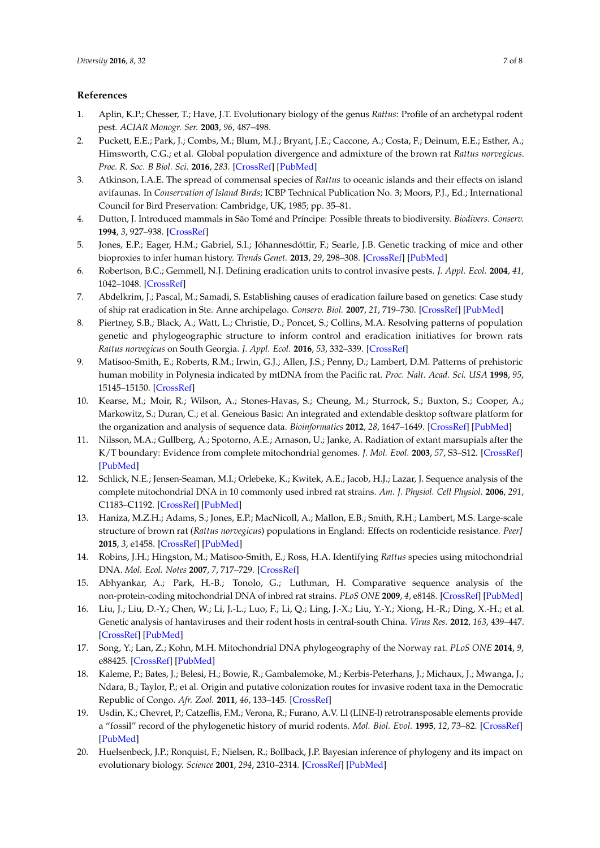## **References**

- <span id="page-6-0"></span>1. Aplin, K.P.; Chesser, T.; Have, J.T. Evolutionary biology of the genus *Rattus*: Profile of an archetypal rodent pest. *ACIAR Monogr. Ser.* **2003**, *96*, 487–498.
- <span id="page-6-1"></span>2. Puckett, E.E.; Park, J.; Combs, M.; Blum, M.J.; Bryant, J.E.; Caccone, A.; Costa, F.; Deinum, E.E.; Esther, A.; Himsworth, C.G.; et al. Global population divergence and admixture of the brown rat *Rattus norvegicus*. *Proc. R. Soc. B Biol. Sci.* **2016**, *283*. [\[CrossRef\]](http://dx.doi.org/10.1098/rspb.2016.1762) [\[PubMed\]](http://www.ncbi.nlm.nih.gov/pubmed/27798305)
- <span id="page-6-2"></span>3. Atkinson, I.A.E. The spread of commensal species of *Rattus* to oceanic islands and their effects on island avifaunas. In *Conservation of Island Birds*; ICBP Technical Publication No. 3; Moors, P.J., Ed.; International Council for Bird Preservation: Cambridge, UK, 1985; pp. 35–81.
- <span id="page-6-3"></span>4. Dutton, J. Introduced mammals in São Tomé and Príncipe: Possible threats to biodiversity. *Biodivers. Conserv.* **1994**, *3*, 927–938. [\[CrossRef\]](http://dx.doi.org/10.1007/BF00129667)
- <span id="page-6-4"></span>5. Jones, E.P.; Eager, H.M.; Gabriel, S.I.; Jóhannesdóttir, F.; Searle, J.B. Genetic tracking of mice and other bioproxies to infer human history. *Trends Genet.* **2013**, *29*, 298–308. [\[CrossRef\]](http://dx.doi.org/10.1016/j.tig.2012.11.011) [\[PubMed\]](http://www.ncbi.nlm.nih.gov/pubmed/23290437)
- <span id="page-6-5"></span>6. Robertson, B.C.; Gemmell, N.J. Defining eradication units to control invasive pests. *J. Appl. Ecol.* **2004**, *41*, 1042–1048. [\[CrossRef\]](http://dx.doi.org/10.1111/j.0021-8901.2004.00984.x)
- <span id="page-6-6"></span>7. Abdelkrim, J.; Pascal, M.; Samadi, S. Establishing causes of eradication failure based on genetics: Case study of ship rat eradication in Ste. Anne archipelago. *Conserv. Biol.* **2007**, *21*, 719–730. [\[CrossRef\]](http://dx.doi.org/10.1111/j.1523-1739.2007.00696.x) [\[PubMed\]](http://www.ncbi.nlm.nih.gov/pubmed/17531050)
- <span id="page-6-7"></span>8. Piertney, S.B.; Black, A.; Watt, L.; Christie, D.; Poncet, S.; Collins, M.A. Resolving patterns of population genetic and phylogeographic structure to inform control and eradication initiatives for brown rats *Rattus norvegicus* on South Georgia. *J. Appl. Ecol.* **2016**, *53*, 332–339. [\[CrossRef\]](http://dx.doi.org/10.1111/1365-2664.12589)
- <span id="page-6-8"></span>9. Matisoo-Smith, E.; Roberts, R.M.; Irwin, G.J.; Allen, J.S.; Penny, D.; Lambert, D.M. Patterns of prehistoric human mobility in Polynesia indicated by mtDNA from the Pacific rat. *Proc. Nalt. Acad. Sci. USA* **1998**, *95*, 15145–15150. [\[CrossRef\]](http://dx.doi.org/10.1073/pnas.95.25.15145)
- <span id="page-6-9"></span>10. Kearse, M.; Moir, R.; Wilson, A.; Stones-Havas, S.; Cheung, M.; Sturrock, S.; Buxton, S.; Cooper, A.; Markowitz, S.; Duran, C.; et al. Geneious Basic: An integrated and extendable desktop software platform for the organization and analysis of sequence data. *Bioinformatics* **2012**, *28*, 1647–1649. [\[CrossRef\]](http://dx.doi.org/10.1093/bioinformatics/bts199) [\[PubMed\]](http://www.ncbi.nlm.nih.gov/pubmed/22543367)
- <span id="page-6-10"></span>11. Nilsson, M.A.; Gullberg, A.; Spotorno, A.E.; Arnason, U.; Janke, A. Radiation of extant marsupials after the K/T boundary: Evidence from complete mitochondrial genomes. *J. Mol. Evol.* **2003**, *57*, S3–S12. [\[CrossRef\]](http://dx.doi.org/10.1007/s00239-003-0001-8) [\[PubMed\]](http://www.ncbi.nlm.nih.gov/pubmed/15008398)
- <span id="page-6-11"></span>12. Schlick, N.E.; Jensen-Seaman, M.I.; Orlebeke, K.; Kwitek, A.E.; Jacob, H.J.; Lazar, J. Sequence analysis of the complete mitochondrial DNA in 10 commonly used inbred rat strains. *Am. J. Physiol. Cell Physiol.* **2006**, *291*, C1183–C1192. [\[CrossRef\]](http://dx.doi.org/10.1152/ajpcell.00234.2006) [\[PubMed\]](http://www.ncbi.nlm.nih.gov/pubmed/16855218)
- <span id="page-6-12"></span>13. Haniza, M.Z.H.; Adams, S.; Jones, E.P.; MacNicoll, A.; Mallon, E.B.; Smith, R.H.; Lambert, M.S. Large-scale structure of brown rat (*Rattus norvegicus*) populations in England: Effects on rodenticide resistance. *PeerJ* **2015**, *3*, e1458. [\[CrossRef\]](http://dx.doi.org/10.7717/peerj.1458) [\[PubMed\]](http://www.ncbi.nlm.nih.gov/pubmed/26664802)
- <span id="page-6-13"></span>14. Robins, J.H.; Hingston, M.; Matisoo-Smith, E.; Ross, H.A. Identifying *Rattus* species using mitochondrial DNA. *Mol. Ecol. Notes* **2007**, *7*, 717–729. [\[CrossRef\]](http://dx.doi.org/10.1111/j.1471-8286.2007.01752.x)
- <span id="page-6-14"></span>15. Abhyankar, A.; Park, H.-B.; Tonolo, G.; Luthman, H. Comparative sequence analysis of the non-protein-coding mitochondrial DNA of inbred rat strains. *PLoS ONE* **2009**, *4*, e8148. [\[CrossRef\]](http://dx.doi.org/10.1371/journal.pone.0008148) [\[PubMed\]](http://www.ncbi.nlm.nih.gov/pubmed/19997590)
- <span id="page-6-15"></span>16. Liu, J.; Liu, D.-Y.; Chen, W.; Li, J.-L.; Luo, F.; Li, Q.; Ling, J.-X.; Liu, Y.-Y.; Xiong, H.-R.; Ding, X.-H.; et al. Genetic analysis of hantaviruses and their rodent hosts in central-south China. *Virus Res.* **2012**, *163*, 439–447. [\[CrossRef\]](http://dx.doi.org/10.1016/j.virusres.2011.11.006) [\[PubMed\]](http://www.ncbi.nlm.nih.gov/pubmed/22108583)
- <span id="page-6-16"></span>17. Song, Y.; Lan, Z.; Kohn, M.H. Mitochondrial DNA phylogeography of the Norway rat. *PLoS ONE* **2014**, *9*, e88425. [\[CrossRef\]](http://dx.doi.org/10.1371/journal.pone.0088425) [\[PubMed\]](http://www.ncbi.nlm.nih.gov/pubmed/24586325)
- <span id="page-6-17"></span>18. Kaleme, P.; Bates, J.; Belesi, H.; Bowie, R.; Gambalemoke, M.; Kerbis-Peterhans, J.; Michaux, J.; Mwanga, J.; Ndara, B.; Taylor, P.; et al. Origin and putative colonization routes for invasive rodent taxa in the Democratic Republic of Congo. *Afr. Zool.* **2011**, *46*, 133–145. [\[CrossRef\]](http://dx.doi.org/10.3377/004.046.0104)
- <span id="page-6-18"></span>19. Usdin, K.; Chevret, P.; Catzeflis, F.M.; Verona, R.; Furano, A.V. Ll (LINE-l) retrotransposable elements provide a "fossil" record of the phylogenetic history of murid rodents. *Mol. Biol. Evol.* **1995**, *12*, 73–82. [\[CrossRef\]](http://dx.doi.org/10.1093/oxfordjournals.molbev.a040192) [\[PubMed\]](http://www.ncbi.nlm.nih.gov/pubmed/7877498)
- <span id="page-6-19"></span>20. Huelsenbeck, J.P.; Ronquist, F.; Nielsen, R.; Bollback, J.P. Bayesian inference of phylogeny and its impact on evolutionary biology. *Science* **2001**, *294*, 2310–2314. [\[CrossRef\]](http://dx.doi.org/10.1126/science.1065889) [\[PubMed\]](http://www.ncbi.nlm.nih.gov/pubmed/11743192)